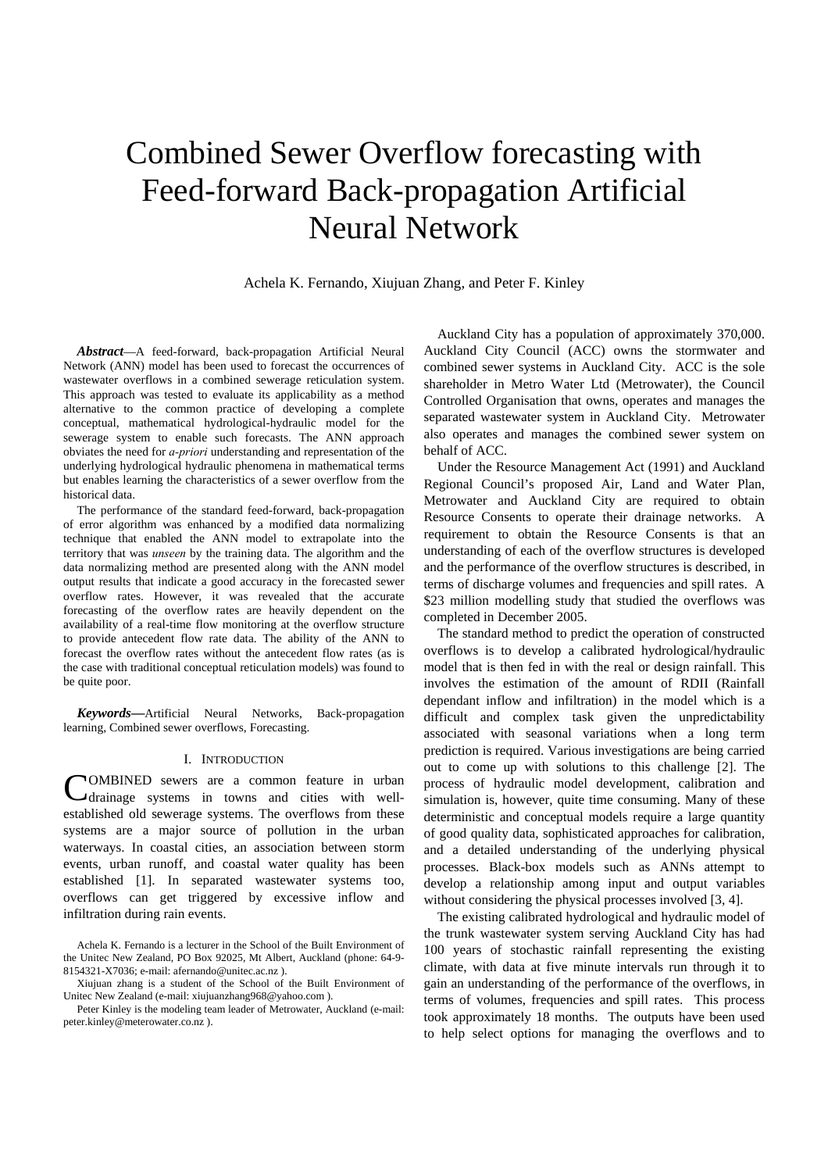# Combined Sewer Overflow forecasting with Feed-forward Back-propagation Artificial Neural Network

Achela K. Fernando, Xiujuan Zhang, and Peter F. Kinley

*Abstract*—A feed-forward, back-propagation Artificial Neural Network (ANN) model has been used to forecast the occurrences of wastewater overflows in a combined sewerage reticulation system. This approach was tested to evaluate its applicability as a method alternative to the common practice of developing a complete conceptual, mathematical hydrological-hydraulic model for the sewerage system to enable such forecasts. The ANN approach obviates the need for *a-priori* understanding and representation of the underlying hydrological hydraulic phenomena in mathematical terms but enables learning the characteristics of a sewer overflow from the historical data.

The performance of the standard feed-forward, back-propagation of error algorithm was enhanced by a modified data normalizing technique that enabled the ANN model to extrapolate into the territory that was *unseen* by the training data. The algorithm and the data normalizing method are presented along with the ANN model output results that indicate a good accuracy in the forecasted sewer overflow rates. However, it was revealed that the accurate forecasting of the overflow rates are heavily dependent on the availability of a real-time flow monitoring at the overflow structure to provide antecedent flow rate data. The ability of the ANN to forecast the overflow rates without the antecedent flow rates (as is the case with traditional conceptual reticulation models) was found to be quite poor.

*Keywords***—**Artificial Neural Networks, Back-propagation learning, Combined sewer overflows, Forecasting.

## I. INTRODUCTION

OMBINED sewers are a common feature in urban Cdrainage systems in towns and cities with wellestablished old sewerage systems. The overflows from these systems are a major source of pollution in the urban waterways. In coastal cities, an association between storm events, urban runoff, and coastal water quality has been established [1]. In separated wastewater systems too, overflows can get triggered by excessive inflow and infiltration during rain events.

Auckland City has a population of approximately 370,000. Auckland City Council (ACC) owns the stormwater and combined sewer systems in Auckland City. ACC is the sole shareholder in Metro Water Ltd (Metrowater), the Council Controlled Organisation that owns, operates and manages the separated wastewater system in Auckland City. Metrowater also operates and manages the combined sewer system on behalf of ACC.

Under the Resource Management Act (1991) and Auckland Regional Council's proposed Air, Land and Water Plan, Metrowater and Auckland City are required to obtain Resource Consents to operate their drainage networks. A requirement to obtain the Resource Consents is that an understanding of each of the overflow structures is developed and the performance of the overflow structures is described, in terms of discharge volumes and frequencies and spill rates. A \$23 million modelling study that studied the overflows was completed in December 2005.

The standard method to predict the operation of constructed overflows is to develop a calibrated hydrological/hydraulic model that is then fed in with the real or design rainfall. This involves the estimation of the amount of RDII (Rainfall dependant inflow and infiltration) in the model which is a difficult and complex task given the unpredictability associated with seasonal variations when a long term prediction is required. Various investigations are being carried out to come up with solutions to this challenge [2]. The process of hydraulic model development, calibration and simulation is, however, quite time consuming. Many of these deterministic and conceptual models require a large quantity of good quality data, sophisticated approaches for calibration, and a detailed understanding of the underlying physical processes. Black-box models such as ANNs attempt to develop a relationship among input and output variables without considering the physical processes involved [3, 4].

The existing calibrated hydrological and hydraulic model of the trunk wastewater system serving Auckland City has had 100 years of stochastic rainfall representing the existing climate, with data at five minute intervals run through it to gain an understanding of the performance of the overflows, in terms of volumes, frequencies and spill rates. This process took approximately 18 months. The outputs have been used to help select options for managing the overflows and to

Achela K. Fernando is a lecturer in the School of the Built Environment of the Unitec New Zealand, PO Box 92025, Mt Albert, Auckland (phone: 64-9- 8154321-X7036; e-mail: afernando@unitec.ac.nz ).

Xiujuan zhang is a student of the School of the Built Environment of Unitec New Zealand (e-mail: xiujuanzhang968@yahoo.com ).

Peter Kinley is the modeling team leader of Metrowater, Auckland (e-mail: peter.kinley@meterowater.co.nz ).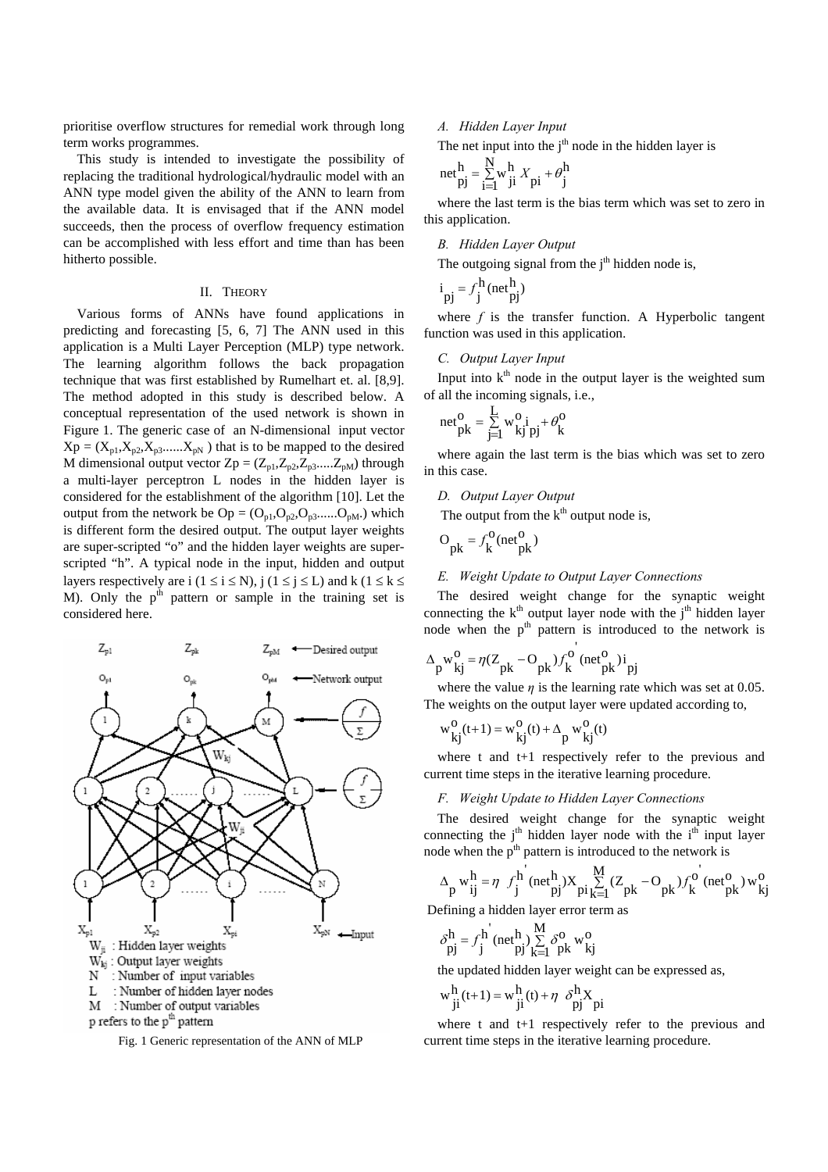prioritise overflow structures for remedial work through long term works programmes.

This study is intended to investigate the possibility of replacing the traditional hydrological/hydraulic model with an ANN type model given the ability of the ANN to learn from the available data. It is envisaged that if the ANN model succeeds, then the process of overflow frequency estimation can be accomplished with less effort and time than has been hitherto possible.

## II. THEORY

Various forms of ANNs have found applications in predicting and forecasting [5, 6, 7] The ANN used in this application is a Multi Layer Perception (MLP) type network. The learning algorithm follows the back propagation technique that was first established by Rumelhart et. al. [8,9]. The method adopted in this study is described below. A conceptual representation of the used network is shown in Figure 1. The generic case of an N-dimensional input vector  $Xp = (X_{p1}, X_{p2}, X_{p3}, \dots, X_{pN})$  that is to be mapped to the desired M dimensional output vector  $Zp = (Z_{p1}, Z_{p2}, Z_{p3}, \dots, Z_{pM})$  through a multi-layer perceptron L nodes in the hidden layer is considered for the establishment of the algorithm [10]. Let the output from the network be  $Op = (O_{p1}, O_{p2}, O_{p3}$ ...... $O_{pM}$ .) which is different form the desired output. The output layer weights are super-scripted "o" and the hidden layer weights are superscripted "h". A typical node in the input, hidden and output layers respectively are i ( $1 \le i \le N$ ),  $j$  ( $1 \le j \le L$ ) and k ( $1 \le k \le k$ M). Only the  $p<sup>th</sup>$  pattern or sample in the training set is considered here.



Fig. 1 Generic representation of the ANN of MLP

#### *A. Hidden Layer Input*

The net input into the  $i<sup>th</sup>$  node in the hidden layer is

$$
\text{net}_{pj}^h = \sum_{i=1}^N w_{ji}^h X_{pi} + \theta_j^h
$$

where the last term is the bias term which was set to zero in this application.

## *B. Hidden Layer Output*

The outgoing signal from the  $j<sup>th</sup>$  hidden node is,

$$
i_{pj} = f_j^h(\text{net}_{pj}^h)
$$

where *f* is the transfer function. A Hyperbolic tangent function was used in this application.

## *C. Output Layer Input*

Input into  $k<sup>th</sup>$  node in the output layer is the weighted sum of all the incoming signals, i.e.,

$$
net_{pk}^{O} = \sum_{j=1}^{L} w_{kj}^{O} i_{pj} + \theta_{k}^{O}
$$

where again the last term is the bias which was set to zero in this case.

## *D. Output Layer Output*

The output from the  $k<sup>th</sup>$  output node is,

$$
O_{pk} = f_k^O(\text{net}^O_{pk})
$$

## *E. Weight Update to Output Layer Connections*

'

The desired weight change for the synaptic weight connecting the  $k<sup>th</sup>$  output layer node with the  $j<sup>th</sup>$  hidden layer node when the  $p<sup>th</sup>$  pattern is introduced to the network is

$$
\Delta_{\text{p}} \mathbf{w}_{\text{kj}}^{\text{o}} = \eta (Z_{\text{pk}} - O_{\text{pk}}) f_{\text{k}}^{\text{o}} \text{ (net}_{\text{pk}}^{\text{o}})^{\text{i}} \text{ p}
$$

where the value *η* is the learning rate which was set at 0.05. The weights on the output layer were updated according to,

$$
w_{kj}^{O}(t+1) = w_{kj}^{O}(t) + \Delta_p w_{kj}^{O}(t)
$$

where t and t+1 respectively refer to the previous and current time steps in the iterative learning procedure.

#### *F. Weight Update to Hidden Layer Connections*

The desired weight change for the synaptic weight connecting the  $j<sup>th</sup>$  hidden layer node with the  $i<sup>th</sup>$  input layer node when the p<sup>th</sup> pattern is introduced to the network is

$$
\Delta_p w_{ij}^h = \eta f_j^h (net_{pj}^h) X_{pi_{k=1}^N}^M (Z_{pk} - O_{pk}) f_k^o (net_{pk}^o) w_{kj}^o
$$

Defining a hidden layer error term as

$$
\delta_{pj}^h = f_j^h \text{ (net }^h_{pj} \text{)} \sum_{k=1}^M \delta_{pk}^0 \text{ w }^0_{kj}
$$

the updated hidden layer weight can be expressed as,

$$
w_{ji}^{h}(t+1) = w_{ji}^{h}(t) + \eta \frac{\delta^{h} X}{pj} p i
$$

where t and t+1 respectively refer to the previous and current time steps in the iterative learning procedure.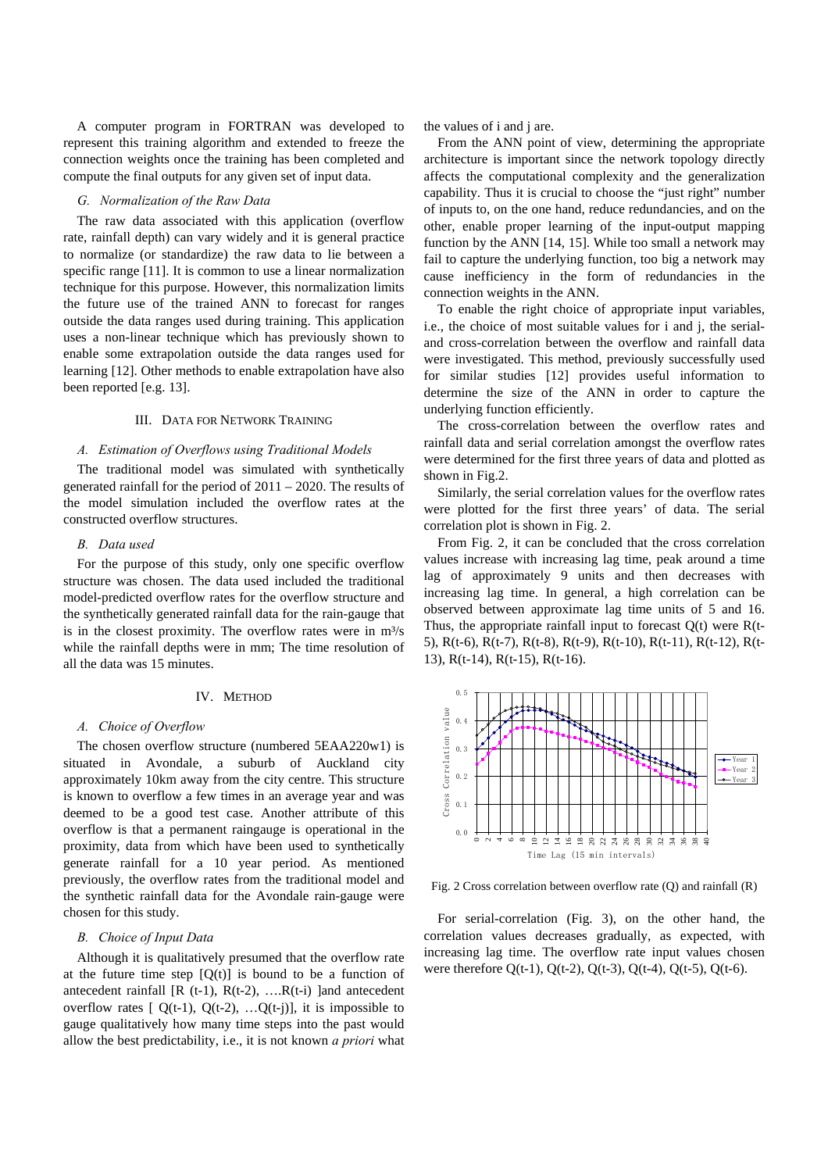A computer program in FORTRAN was developed to represent this training algorithm and extended to freeze the connection weights once the training has been completed and compute the final outputs for any given set of input data.

#### *G. Normalization of the Raw Data*

The raw data associated with this application (overflow rate, rainfall depth) can vary widely and it is general practice to normalize (or standardize) the raw data to lie between a specific range [11]. It is common to use a linear normalization technique for this purpose. However, this normalization limits the future use of the trained ANN to forecast for ranges outside the data ranges used during training. This application uses a non-linear technique which has previously shown to enable some extrapolation outside the data ranges used for learning [12]. Other methods to enable extrapolation have also been reported [e.g. 13].

## III. DATA FOR NETWORK TRAINING

#### *A. Estimation of Overflows using Traditional Models*

The traditional model was simulated with synthetically generated rainfall for the period of 2011 – 2020. The results of the model simulation included the overflow rates at the constructed overflow structures.

## *B. Data used*

For the purpose of this study, only one specific overflow structure was chosen. The data used included the traditional model-predicted overflow rates for the overflow structure and the synthetically generated rainfall data for the rain-gauge that is in the closest proximity. The overflow rates were in  $m^3/s$ while the rainfall depths were in mm; The time resolution of all the data was 15 minutes.

## IV. METHOD

#### *A. Choice of Overflow*

The chosen overflow structure (numbered 5EAA220w1) is situated in Avondale, a suburb of Auckland city approximately 10km away from the city centre. This structure is known to overflow a few times in an average year and was deemed to be a good test case. Another attribute of this overflow is that a permanent raingauge is operational in the proximity, data from which have been used to synthetically generate rainfall for a 10 year period. As mentioned previously, the overflow rates from the traditional model and the synthetic rainfall data for the Avondale rain-gauge were chosen for this study.

## *B. Choice of Input Data*

Although it is qualitatively presumed that the overflow rate at the future time step  $[Q(t)]$  is bound to be a function of antecedent rainfall  $[R (t-1), R(t-2), \ldots, R(t-i)]$  and antecedent overflow rates  $[ Q(t-1), Q(t-2), ...Q(t-j) ]$ , it is impossible to gauge qualitatively how many time steps into the past would allow the best predictability, i.e., it is not known *a priori* what the values of i and j are.

From the ANN point of view, determining the appropriate architecture is important since the network topology directly affects the computational complexity and the generalization capability. Thus it is crucial to choose the "just right" number of inputs to, on the one hand, reduce redundancies, and on the other, enable proper learning of the input-output mapping function by the ANN [14, 15]. While too small a network may fail to capture the underlying function, too big a network may cause inefficiency in the form of redundancies in the connection weights in the ANN.

To enable the right choice of appropriate input variables, i.e., the choice of most suitable values for i and j, the serialand cross-correlation between the overflow and rainfall data were investigated. This method, previously successfully used for similar studies [12] provides useful information to determine the size of the ANN in order to capture the underlying function efficiently.

The cross-correlation between the overflow rates and rainfall data and serial correlation amongst the overflow rates were determined for the first three years of data and plotted as shown in Fig.2.

Similarly, the serial correlation values for the overflow rates were plotted for the first three years' of data. The serial correlation plot is shown in Fig. 2.

From Fig. 2, it can be concluded that the cross correlation values increase with increasing lag time, peak around a time lag of approximately 9 units and then decreases with increasing lag time. In general, a high correlation can be observed between approximate lag time units of 5 and 16. Thus, the appropriate rainfall input to forecast  $Q(t)$  were  $R(t-$ 5), R(t-6), R(t-7), R(t-8), R(t-9), R(t-10), R(t-11), R(t-12), R(t-13), R(t-14), R(t-15), R(t-16).



Fig. 2 Cross correlation between overflow rate (Q) and rainfall (R)

For serial-correlation (Fig. 3), on the other hand, the correlation values decreases gradually, as expected, with increasing lag time. The overflow rate input values chosen were therefore  $O(t-1)$ ,  $O(t-2)$ ,  $O(t-3)$ ,  $O(t-4)$ ,  $O(t-5)$ ,  $O(t-6)$ .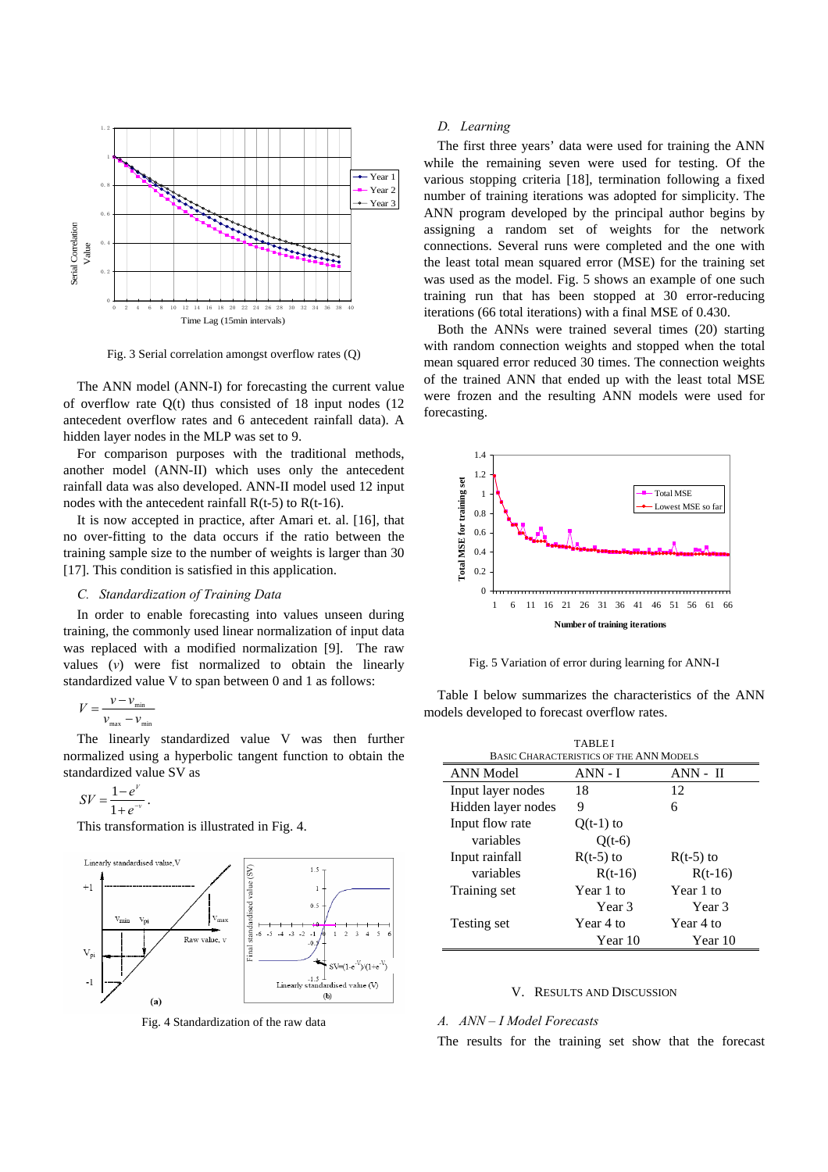

Fig. 3 Serial correlation amongst overflow rates (Q)

The ANN model (ANN-I) for forecasting the current value of overflow rate Q(t) thus consisted of 18 input nodes (12 antecedent overflow rates and 6 antecedent rainfall data). A hidden layer nodes in the MLP was set to 9.

For comparison purposes with the traditional methods, another model (ANN-II) which uses only the antecedent rainfall data was also developed. ANN-II model used 12 input nodes with the antecedent rainfall  $R(t-5)$  to  $R(t-16)$ .

It is now accepted in practice, after Amari et. al. [16], that no over-fitting to the data occurs if the ratio between the training sample size to the number of weights is larger than 30 [17]. This condition is satisfied in this application.

## *C. Standardization of Training Data*

In order to enable forecasting into values unseen during training, the commonly used linear normalization of input data was replaced with a modified normalization [9]. The raw values (*v*) were fist normalized to obtain the linearly standardized value V to span between 0 and 1 as follows:

$$
V = \frac{v - v_{\min}}{v_{\max} - v_{\min}}
$$

The linearly standardized value V was then further normalized using a hyperbolic tangent function to obtain the standardized value SV as

$$
SV = \frac{1-e^V}{1+e^{-V}}.
$$

This transformation is illustrated in Fig. 4.



Fig. 4 Standardization of the raw data

## *D. Learning*

The first three years' data were used for training the ANN while the remaining seven were used for testing. Of the various stopping criteria [18], termination following a fixed number of training iterations was adopted for simplicity. The ANN program developed by the principal author begins by assigning a random set of weights for the network connections. Several runs were completed and the one with the least total mean squared error (MSE) for the training set was used as the model. Fig. 5 shows an example of one such training run that has been stopped at 30 error-reducing iterations (66 total iterations) with a final MSE of 0.430.

Both the ANNs were trained several times (20) starting with random connection weights and stopped when the total mean squared error reduced 30 times. The connection weights of the trained ANN that ended up with the least total MSE were frozen and the resulting ANN models were used for forecasting.



Fig. 5 Variation of error during learning for ANN-I

Table I below summarizes the characteristics of the ANN models developed to forecast overflow rates.

| <b>TABLEI</b>                                  |             |                   |  |
|------------------------------------------------|-------------|-------------------|--|
| <b>BASIC CHARACTERISTICS OF THE ANN MODELS</b> |             |                   |  |
| <b>ANN</b> Model                               | $ANN - I$   | $ANN - II$        |  |
| Input layer nodes                              | 18          | 12                |  |
| Hidden layer nodes                             | 9           | 6                 |  |
| Input flow rate                                | $Q(t-1)$ to |                   |  |
| variables                                      | $Q(t-6)$    |                   |  |
| Input rainfall                                 | $R(t-5)$ to | $R(t-5)$ to       |  |
| variables                                      | $R(t-16)$   | $R(t-16)$         |  |
| Training set                                   | Year 1 to   | Year 1 to         |  |
|                                                | Year 3      | Year <sub>3</sub> |  |
| Testing set                                    | Year 4 to   | Year 4 to         |  |
|                                                | Year 10     | Year 10           |  |

#### V. RESULTS AND DISCUSSION

#### *A. ANN – I Model Forecasts*

The results for the training set show that the forecast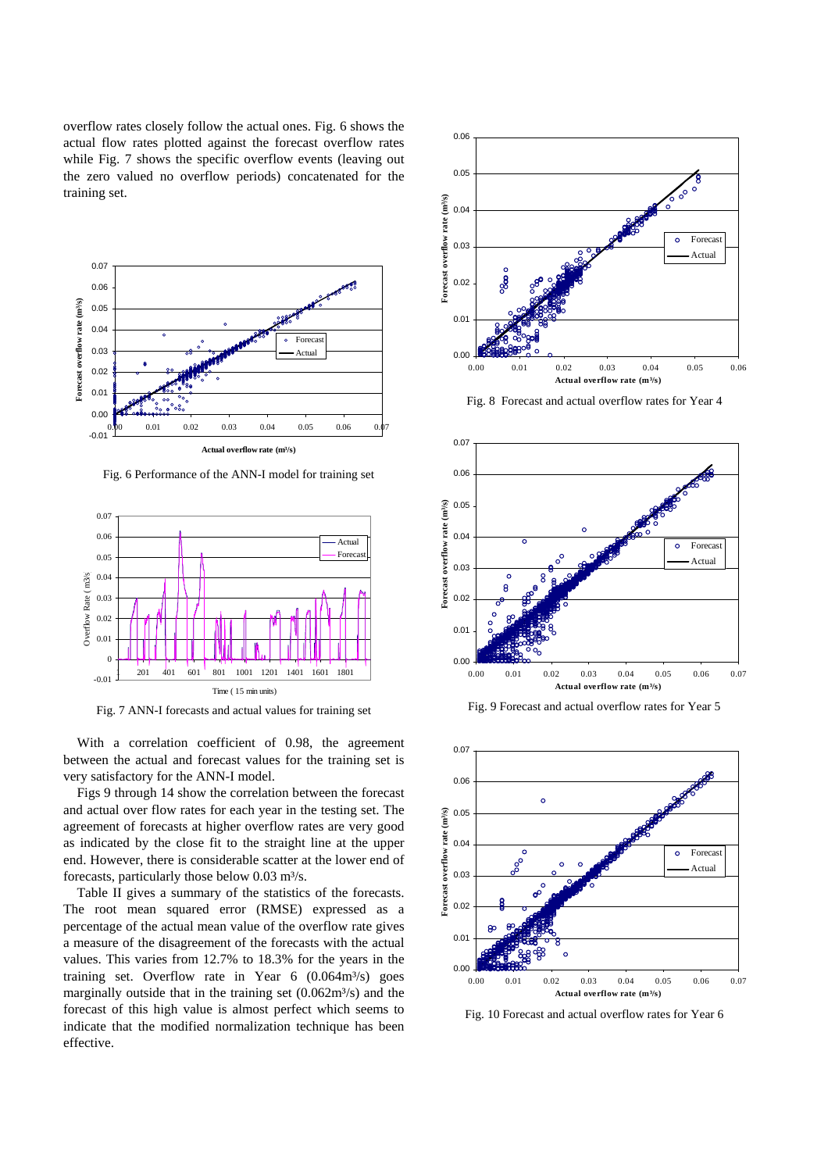overflow rates closely follow the actual ones. Fig. 6 shows the actual flow rates plotted against the forecast overflow rates while Fig. 7 shows the specific overflow events (leaving out the zero valued no overflow periods) concatenated for the training set.



Fig. 6 Performance of the ANN-I model for training set



Fig. 7 ANN-I forecasts and actual values for training set

With a correlation coefficient of 0.98, the agreement between the actual and forecast values for the training set is very satisfactory for the ANN-I model.

Figs 9 through 14 show the correlation between the forecast and actual over flow rates for each year in the testing set. The agreement of forecasts at higher overflow rates are very good as indicated by the close fit to the straight line at the upper end. However, there is considerable scatter at the lower end of forecasts, particularly those below  $0.03$  m<sup>3</sup>/s.

Table II gives a summary of the statistics of the forecasts. The root mean squared error (RMSE) expressed as a percentage of the actual mean value of the overflow rate gives a measure of the disagreement of the forecasts with the actual values. This varies from 12.7% to 18.3% for the years in the training set. Overflow rate in Year  $6 \left(0.064 \text{m}^3/\text{s}\right)$  goes marginally outside that in the training set  $(0.062m<sup>3</sup>/s)$  and the forecast of this high value is almost perfect which seems to indicate that the modified normalization technique has been effective.



Fig. 8 Forecast and actual overflow rates for Year 4



Fig. 9 Forecast and actual overflow rates for Year 5



Fig. 10 Forecast and actual overflow rates for Year 6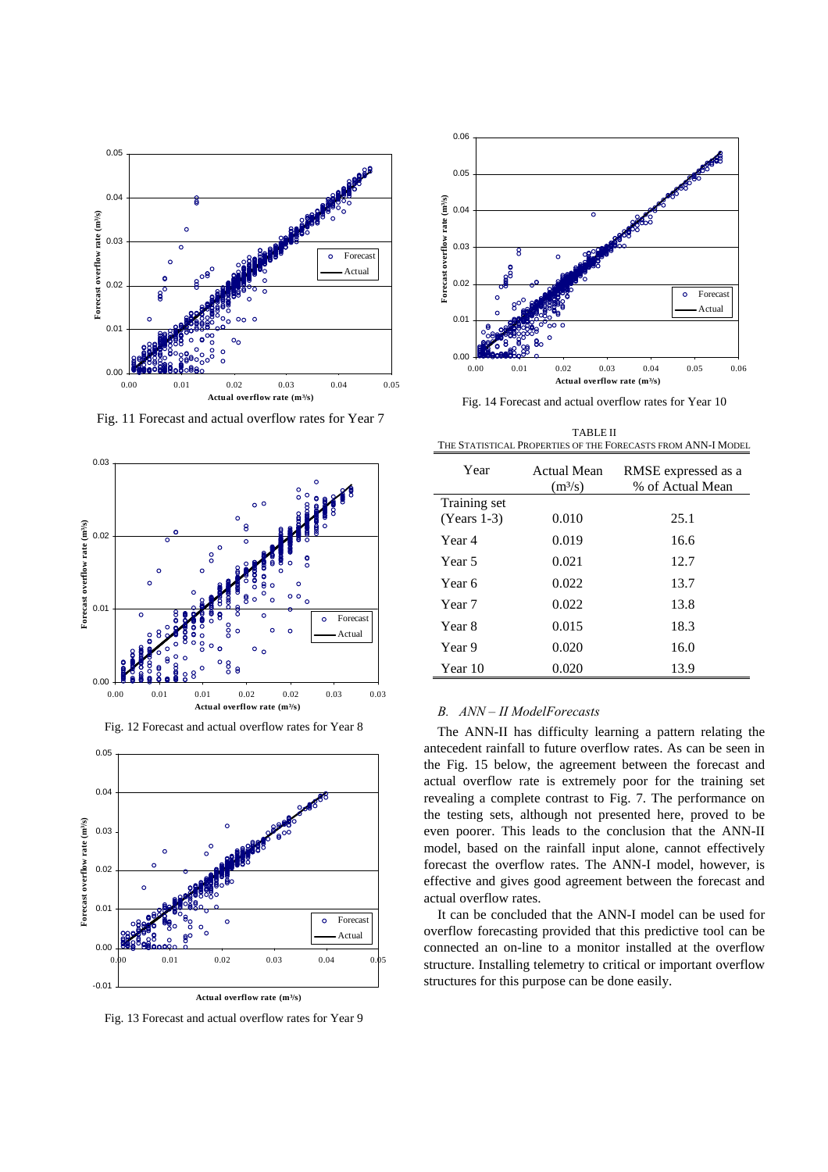

Fig. 11 Forecast and actual overflow rates for Year 7







Fig. 13 Forecast and actual overflow rates for Year 9



Fig. 14 Forecast and actual overflow rates for Year 10

TABLE II THE STATISTICAL PROPERTIES OF THE FORECASTS FROM ANN-I MODEL

| Year          | Actual Mean<br>(m <sup>3</sup> /s) | RMSE expressed as a<br>% of Actual Mean |
|---------------|------------------------------------|-----------------------------------------|
| Training set  |                                    |                                         |
| $(Years 1-3)$ | 0.010                              | 25.1                                    |
| Year 4        | 0.019                              | 16.6                                    |
| Year 5        | 0.021                              | 12.7                                    |
| Year 6        | 0.022                              | 13.7                                    |
| Year 7        | 0.022                              | 13.8                                    |
| Year 8        | 0.015                              | 18.3                                    |
| Year 9        | 0.020                              | 16.0                                    |
| Year 10       | 0.020                              | 13.9                                    |

## *B. ANN – II ModelForecasts*

The ANN-II has difficulty learning a pattern relating the antecedent rainfall to future overflow rates. As can be seen in the Fig. 15 below, the agreement between the forecast and actual overflow rate is extremely poor for the training set revealing a complete contrast to Fig. 7. The performance on the testing sets, although not presented here, proved to be even poorer. This leads to the conclusion that the ANN-II model, based on the rainfall input alone, cannot effectively forecast the overflow rates. The ANN-I model, however, is effective and gives good agreement between the forecast and actual overflow rates.

It can be concluded that the ANN-I model can be used for overflow forecasting provided that this predictive tool can be connected an on-line to a monitor installed at the overflow structure. Installing telemetry to critical or important overflow structures for this purpose can be done easily.